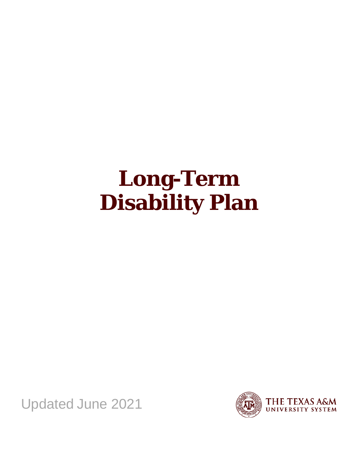# **Long-Term Disability Plan**

Updated June 2021

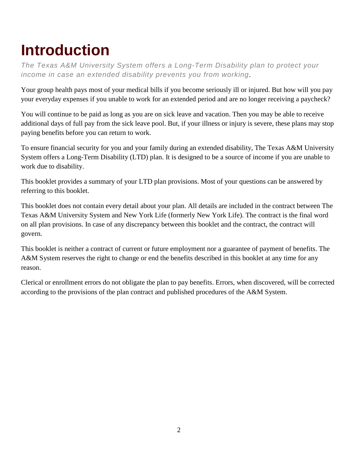# <span id="page-1-0"></span>**Introduction**

*The Texas A&M University System offers a Long-Term Disability plan to protect your income in case an extended disability prevents you from working*.

Your group health pays most of your medical bills if you become seriously ill or injured. But how will you pay your everyday expenses if you unable to work for an extended period and are no longer receiving a paycheck?

You will continue to be paid as long as you are on sick leave and vacation. Then you may be able to receive additional days of full pay from the sick leave pool. But, if your illness or injury is severe, these plans may stop paying benefits before you can return to work.

To ensure financial security for you and your family during an extended disability, The Texas A&M University System offers a Long-Term Disability (LTD) plan. It is designed to be a source of income if you are unable to work due to disability.

This booklet provides a summary of your LTD plan provisions. Most of your questions can be answered by referring to this booklet.

This booklet does not contain every detail about your plan. All details are included in the contract between The Texas A&M University System and New York Life (formerly New York Life). The contract is the final word on all plan provisions. In case of any discrepancy between this booklet and the contract, the contract will govern.

This booklet is neither a contract of current or future employment nor a guarantee of payment of benefits. The A&M System reserves the right to change or end the benefits described in this booklet at any time for any reason.

Clerical or enrollment errors do not obligate the plan to pay benefits. Errors, when discovered, will be corrected according to the provisions of the plan contract and published procedures of the A&M System.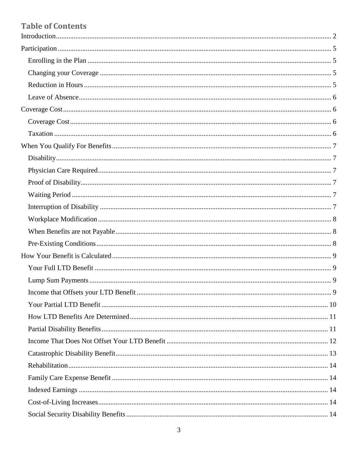# **Table of Contents**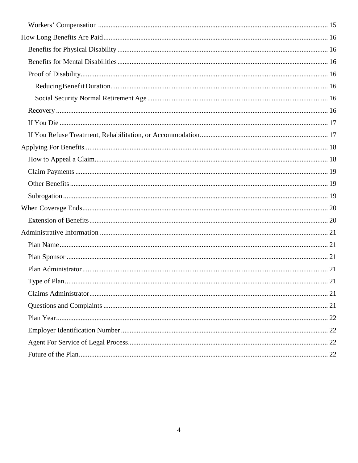| 21 |
|----|
|    |
|    |
|    |
|    |
|    |
|    |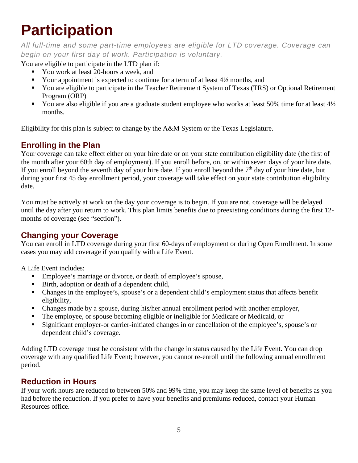# <span id="page-4-0"></span>**Participation**

*All full-time and some part-time employees are eligible for LTD coverage. Coverage can begin on your first day of work. Participation is voluntary.*

You are eligible to participate in the LTD plan if:

- You work at least 20-hours a week, and
- Your appointment is expected to continue for a term of at least  $4\frac{1}{2}$  months, and
- You are eligible to participate in the Teacher Retirement System of Texas (TRS) or Optional Retirement Program (ORP)
- You are also eligible if you are a graduate student employee who works at least 50% time for at least  $4\frac{1}{2}$ months.

Eligibility for this plan is subject to change by the A&M System or the Texas Legislature.

# <span id="page-4-1"></span>**Enrolling in the Plan**

Your coverage can take effect either on your hire date or on your state contribution eligibility date (the first of the month after your 60th day of employment). If you enroll before, on, or within seven days of your hire date. If you enroll beyond the seventh day of your hire date. If you enroll beyond the  $7<sup>th</sup>$  day of your hire date, but during your first 45 day enrollment period, your coverage will take effect on your state contribution eligibility date.

You must be actively at work on the day your coverage is to begin. If you are not, coverage will be delayed until the day after you return to work. This plan limits benefits due to preexisting conditions during the first 12 months of coverage (see "section").

# <span id="page-4-2"></span>**Changing your Coverage**

You can enroll in LTD coverage during your first 60-days of employment or during Open Enrollment. In some cases you may add coverage if you qualify with a Life Event.

A Life Event includes:

- Employee's marriage or divorce, or death of employee's spouse,
- Birth, adoption or death of a dependent child,
- Changes in the employee's, spouse's or a dependent child's employment status that affects benefit eligibility,
- Changes made by a spouse, during his/her annual enrollment period with another employer,
- The employee, or spouse becoming eligible or ineligible for Medicare or Medicaid, or
- Significant employer-or carrier-initiated changes in or cancellation of the employee's, spouse's or dependent child's coverage.

Adding LTD coverage must be consistent with the change in status caused by the Life Event. You can drop coverage with any qualified Life Event; however, you cannot re-enroll until the following annual enrollment period.

# <span id="page-4-3"></span>**Reduction in Hours**

If your work hours are reduced to between 50% and 99% time, you may keep the same level of benefits as you had before the reduction. If you prefer to have your benefits and premiums reduced, contact your Human Resources office.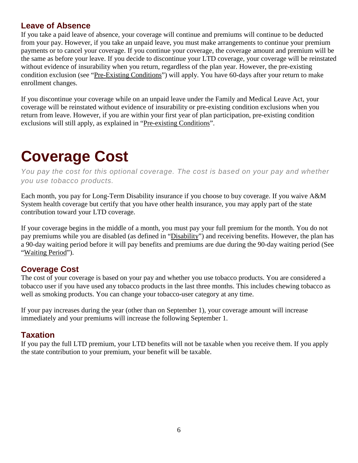#### <span id="page-5-0"></span>**Leave of Absence**

If you take a paid leave of absence, your coverage will continue and premiums will continue to be deducted from your pay. However, if you take an unpaid leave, you must make arrangements to continue your premium payments or to cancel your coverage. If you continue your coverage, the coverage amount and premium will be the same as before your leave. If you decide to discontinue your LTD coverage, your coverage will be reinstated without evidence of insurability when you return, regardless of the plan year. However, the pre-existing condition exclusion (see ["Pre-Existing Conditions"](#page-7-2)) will apply. You have 60-days after your return to make enrollment changes.

If you discontinue your coverage while on an unpaid leave under the Family and Medical Leave Act, your coverage will be reinstated without evidence of insurability or pre-existing condition exclusions when you return from leave. However, if you are within your first year of plan participation, pre-existing condition exclusions will still apply, as explained in ["Pre-existing Conditions"](#page-7-2).

# <span id="page-5-1"></span>**Coverage Cost**

*You pay the cost for this optional coverage. The cost is based on your pay and whether you use tobacco products.*

Each month, you pay for Long-Term Disability insurance if you choose to buy coverage. If you waive A&M System health coverage but certify that you have other health insurance, you may apply part of the state contribution toward your LTD coverage.

If your coverage begins in the middle of a month, you must pay your full premium for the month. You do not pay premiums while you are disabled (as defined in ["Disability"](#page-6-1)) and receiving benefits. However, the plan has a 90-day waiting period before it will pay benefits and premiums are due during the 90-day waiting period (See ["Waiting Period"](#page-6-4)).

#### <span id="page-5-2"></span>**Coverage Cost**

The cost of your coverage is based on your pay and whether you use tobacco products. You are considered a tobacco user if you have used any tobacco products in the last three months. This includes chewing tobacco as well as smoking products. You can change your tobacco-user category at any time.

If your pay increases during the year (other than on September 1), your coverage amount will increase immediately and your premiums will increase the following September 1.

#### <span id="page-5-3"></span>**Taxation**

If you pay the full LTD premium, your LTD benefits will not be taxable when you receive them. If you apply the state contribution to your premium, your benefit will be taxable.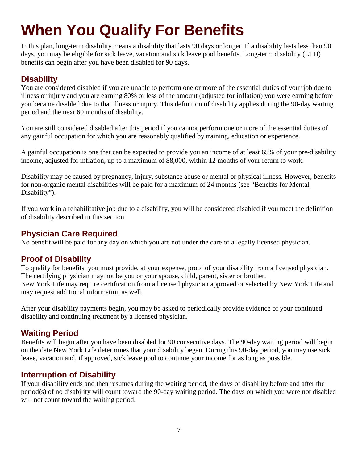# <span id="page-6-0"></span>**When You Qualify For Benefits**

In this plan, long-term disability means a disability that lasts 90 days or longer. If a disability lasts less than 90 days, you may be eligible for sick leave, vacation and sick leave pool benefits. Long-term disability (LTD) benefits can begin after you have been disabled for 90 days.

### <span id="page-6-1"></span>**Disability**

You are considered disabled if you are unable to perform one or more of the essential duties of your job due to illness or injury and you are earning 80% or less of the amount (adjusted for inflation) you were earning before you became disabled due to that illness or injury. This definition of disability applies during the 90-day waiting period and the next 60 months of disability.

You are still considered disabled after this period if you cannot perform one or more of the essential duties of any gainful occupation for which you are reasonably qualified by training, education or experience.

A gainful occupation is one that can be expected to provide you an income of at least 65% of your pre-disability income, adjusted for inflation, up to a maximum of \$8,000, within 12 months of your return to work.

Disability may be caused by pregnancy, injury, substance abuse or mental or physical illness. However, benefits for non-organic mental disabilities will be paid for a maximum of 24 months (see ["Benefits for Mental](#page-15-2)  [Disability"](#page-15-2)).

If you work in a rehabilitative job due to a disability, you will be considered disabled if you meet the definition of disability described in this section.

#### <span id="page-6-2"></span>**Physician Care Required**

No benefit will be paid for any day on which you are not under the care of a legally licensed physician.

#### <span id="page-6-3"></span>**Proof of Disability**

To qualify for benefits, you must provide, at your expense, proof of your disability from a licensed physician. The certifying physician may not be you or your spouse, child, parent, sister or brother. New York Life may require certification from a licensed physician approved or selected by New York Life and may request additional information as well.

After your disability payments begin, you may be asked to periodically provide evidence of your continued disability and continuing treatment by a licensed physician.

#### <span id="page-6-4"></span>**Waiting Period**

Benefits will begin after you have been disabled for 90 consecutive days. The 90-day waiting period will begin on the date New York Life determines that your disability began. During this 90-day period, you may use sick leave, vacation and, if approved, sick leave pool to continue your income for as long as possible.

#### <span id="page-6-5"></span>**Interruption of Disability**

If your disability ends and then resumes during the waiting period, the days of disability before and after the period(s) of no disability will count toward the 90-day waiting period. The days on which you were not disabled will not count toward the waiting period.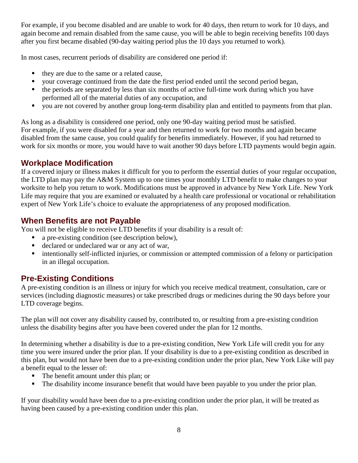For example, if you become disabled and are unable to work for 40 days, then return to work for 10 days, and again become and remain disabled from the same cause, you will be able to begin receiving benefits 100 days after you first became disabled (90-day waiting period plus the 10 days you returned to work).

In most cases, recurrent periods of disability are considered one period if:

- they are due to the same or a related cause,
- your coverage continued from the date the first period ended until the second period began,
- the periods are separated by less than six months of active full-time work during which you have performed all of the material duties of any occupation, and
- you are not covered by another group long-term disability plan and entitled to payments from that plan.

As long as a disability is considered one period, only one 90-day waiting period must be satisfied. For example, if you were disabled for a year and then returned to work for two months and again became disabled from the same cause, you could qualify for benefits immediately. However, if you had returned to work for six months or more, you would have to wait another 90 days before LTD payments would begin again.

#### <span id="page-7-0"></span>**Workplace Modification**

If a covered injury or illness makes it difficult for you to perform the essential duties of your regular occupation, the LTD plan may pay the A&M System up to one times your monthly LTD benefit to make changes to your worksite to help you return to work. Modifications must be approved in advance by New York Life. New York Life may require that you are examined or evaluated by a health care professional or vocational or rehabilitation expert of New York Life's choice to evaluate the appropriateness of any proposed modification.

### <span id="page-7-1"></span>**When Benefits are not Payable**

You will not be eligible to receive LTD benefits if your disability is a result of:

- a pre-existing condition (see description below),
- declared or undeclared war or any act of war,
- intentionally self-inflicted injuries, or commission or attempted commission of a felony or participation in an illegal occupation.

# <span id="page-7-2"></span>**Pre-Existing Conditions**

A pre-existing condition is an illness or injury for which you receive medical treatment, consultation, care or services (including diagnostic measures) or take prescribed drugs or medicines during the 90 days before your LTD coverage begins.

The plan will not cover any disability caused by, contributed to, or resulting from a pre-existing condition unless the disability begins after you have been covered under the plan for 12 months.

In determining whether a disability is due to a pre-existing condition, New York Life will credit you for any time you were insured under the prior plan. If your disability is due to a pre-existing condition as described in this plan, but would not have been due to a pre-existing condition under the prior plan, New York Like will pay a benefit equal to the lesser of:

- The benefit amount under this plan; or
- The disability income insurance benefit that would have been payable to you under the prior plan.

If your disability would have been due to a pre-existing condition under the prior plan, it will be treated as having been caused by a pre-existing condition under this plan.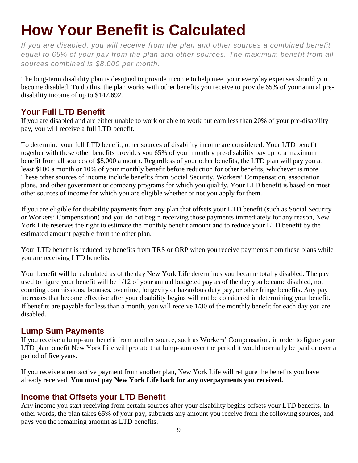# <span id="page-8-0"></span>**How Your Benefit is Calculated**

*If you are disabled, you will receive from the plan and other sources a combined benefit equal to 65% of your pay from the plan and other sources. The maximum benefit from all sources combined is \$8,000 per month.*

The long-term disability plan is designed to provide income to help meet your everyday expenses should you become disabled. To do this, the plan works with other benefits you receive to provide 65% of your annual predisability income of up to \$147,692.

## <span id="page-8-1"></span>**Your Full LTD Benefit**

If you are disabled and are either unable to work or able to work but earn less than 20% of your pre-disability pay, you will receive a full LTD benefit.

To determine your full LTD benefit, other sources of disability income are considered. Your LTD benefit together with these other benefits provides you 65% of your monthly pre-disability pay up to a maximum benefit from all sources of \$8,000 a month. Regardless of your other benefits, the LTD plan will pay you at least \$100 a month or 10% of your monthly benefit before reduction for other benefits, whichever is more. These other sources of income include benefits from Social Security, Workers' Compensation, association plans, and other government or company programs for which you qualify. Your LTD benefit is based on most other sources of income for which you are eligible whether or not you apply for them.

If you are eligible for disability payments from any plan that offsets your LTD benefit (such as Social Security or Workers' Compensation) and you do not begin receiving those payments immediately for any reason, New York Life reserves the right to estimate the monthly benefit amount and to reduce your LTD benefit by the estimated amount payable from the other plan.

Your LTD benefit is reduced by benefits from TRS or ORP when you receive payments from these plans while you are receiving LTD benefits.

Your benefit will be calculated as of the day New York Life determines you became totally disabled. The pay used to figure your benefit will be 1/12 of your annual budgeted pay as of the day you became disabled, not counting commissions, bonuses, overtime, longevity or hazardous duty pay, or other fringe benefits. Any pay increases that become effective after your disability begins will not be considered in determining your benefit. If benefits are payable for less than a month, you will receive 1/30 of the monthly benefit for each day you are disabled.

#### <span id="page-8-2"></span>**Lump Sum Payments**

If you receive a lump-sum benefit from another source, such as Workers' Compensation, in order to figure your LTD plan benefit New York Life will prorate that lump-sum over the period it would normally be paid or over a period of five years.

If you receive a retroactive payment from another plan, New York Life will refigure the benefits you have already received. **You must pay New York Life back for any overpayments you received.**

#### <span id="page-8-3"></span>**Income that Offsets your LTD Benefit**

Any income you start receiving from certain sources after your disability begins offsets your LTD benefits. In other words, the plan takes 65% of your pay, subtracts any amount you receive from the following sources, and pays you the remaining amount as LTD benefits.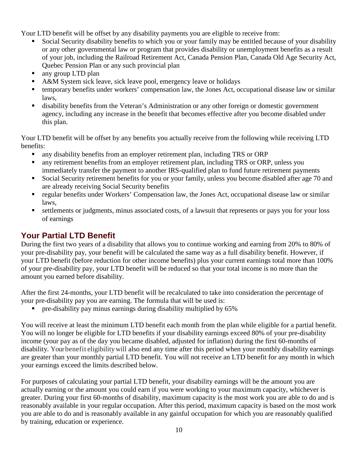Your LTD benefit will be offset by any disability payments you are eligible to receive from:

- Social Security disability benefits to which you or your family may be entitled because of your disability or any other governmental law or program that provides disability or unemployment benefits as a result of your job, including the Railroad Retirement Act, Canada Pension Plan, Canada Old Age Security Act, Quebec Pension Plan or any such provincial plan
- any group LTD plan
- A&M System sick leave, sick leave pool, emergency leave or holidays
- temporary benefits under workers' compensation law, the Jones Act, occupational disease law or similar laws,
- disability benefits from the Veteran's Administration or any other foreign or domestic government agency, including any increase in the benefit that becomes effective after you become disabled under this plan.

Your LTD benefit will be offset by any benefits you actually receive from the following while receiving LTD benefits:

- any disability benefits from an employer retirement plan, including TRS or ORP
- **a** any retirement benefits from an employer retirement plan, including TRS or ORP, unless you immediately transfer the payment to another IRS-qualified plan to fund future retirement payments
- Social Security retirement benefits for you or your family, unless you become disabled after age 70 and are already receiving Social Security benefits
- regular benefits under Workers' Compensation law, the Jones Act, occupational disease law or similar laws,
- settlements or judgments, minus associated costs, of a lawsuit that represents or pays you for your loss of earnings

# <span id="page-9-0"></span>**Your Partial LTD Benefit**

During the first two years of a disability that allows you to continue working and earning from 20% to 80% of your pre-disability pay, your benefit will be calculated the same way as a full disability benefit. However, if your LTD benefit (before reduction for other income benefits) plus your current earnings total more than 100% of your pre-disability pay, your LTD benefit will be reduced so that your total income is no more than the amount you earned before disability.

After the first 24-months, your LTD benefit will be recalculated to take into consideration the percentage of your pre-disability pay you are earning. The formula that will be used is:

pre-disability pay minus earnings during disability multiplied by 65%

You will receive at least the minimum LTD benefit each month from the plan while eligible for a partial benefit. You will no longer be eligible for LTD benefits if your disability earnings exceed 80% of your pre-disability income (your pay as of the day you became disabled, adjusted for inflation) during the first 60-months of disability. Yourbenefit eligibilitywill also end any time after this period when your monthly disability earnings are greater than your monthly partial LTD benefit. You will not receive an LTD benefit for any month in which your earnings exceed the limits described below.

For purposes of calculating your partial LTD benefit, your disability earnings will be the amount you are actually earning or the amount you could earn if you were working to your maximum capacity, whichever is greater. During your first 60-months of disability, maximum capacity is the most work you are able to do and is reasonably available in your regular occupation. After this period, maximum capacity is based on the most work you are able to do and is reasonably available in any gainful occupation for which you are reasonably qualified by training, education or experience.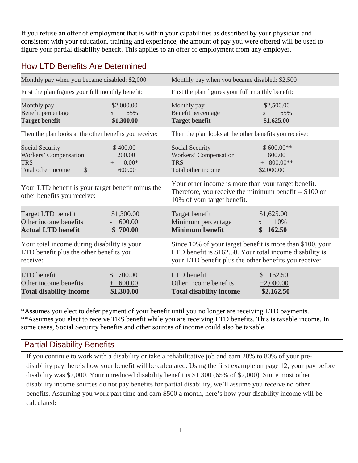If you refuse an offer of employment that is within your capabilities as described by your physician and consistent with your education, training and experience, the amount of pay you were offered will be used to figure your partial disability benefit. This applies to an offer of employment from any employer.

# <span id="page-10-0"></span>How LTD Benefits Are Determined

| Monthly pay when you became disabled: \$2,000                                                      |                                                           | Monthly pay when you became disabled: \$2,500                                                                                                                                  |                                                     |  |
|----------------------------------------------------------------------------------------------------|-----------------------------------------------------------|--------------------------------------------------------------------------------------------------------------------------------------------------------------------------------|-----------------------------------------------------|--|
| First the plan figures your full monthly benefit:                                                  |                                                           | First the plan figures your full monthly benefit:                                                                                                                              |                                                     |  |
| Monthly pay<br>Benefit percentage<br><b>Target benefit</b>                                         | \$2,000.00<br>65%<br>\$1,300.00                           | Monthly pay<br>Benefit percentage<br><b>Target benefit</b>                                                                                                                     | \$2,500.00<br>65%<br>\$1,625.00                     |  |
| Then the plan looks at the other benefits you receive:                                             |                                                           | Then the plan looks at the other benefits you receive:                                                                                                                         |                                                     |  |
| Social Security<br>Workers' Compensation<br><b>TRS</b><br>\$<br>Total other income                 | \$400.00<br>200.00<br>$0.00*$<br>$^{+}$<br>600.00         | Social Security<br>Workers' Compensation<br><b>TRS</b><br>Total other income                                                                                                   | $$600.00**$<br>600.00<br>$+$ 800.00**<br>\$2,000.00 |  |
| Your LTD benefit is your target benefit minus the<br>other benefits you receive:                   |                                                           | Your other income is more than your target benefit.<br>Therefore, you receive the minimum benefit -- \$100 or<br>10% of your target benefit.                                   |                                                     |  |
| Target LTD benefit<br>Other income benefits<br><b>Actual LTD benefit</b>                           | \$1,300.00<br>600.00<br>\$700.00                          | Target benefit<br>Minimum percentage<br><b>Minimum benefit</b>                                                                                                                 | \$1,625.00<br>10%<br>X<br>\$162.50                  |  |
| Your total income during disability is your<br>LTD benefit plus the other benefits you<br>receive: |                                                           | Since 10% of your target benefit is more than \$100, your<br>LTD benefit is \$162.50. Your total income disability is<br>your LTD benefit plus the other benefits you receive: |                                                     |  |
| LTD benefit<br>Other income benefits<br><b>Total disability income</b>                             | 700.00<br>$\mathcal{S}$<br>600.00<br>$^{+}$<br>\$1,300.00 | LTD benefit<br>Other income benefits<br><b>Total disability income</b>                                                                                                         | 162.50<br>\$<br>$+2,000.00$<br>\$2,162.50           |  |

\*Assumes you elect to defer payment of your benefit until you no longer are receiving LTD payments. \*\*Assumes you elect to receive TRS benefit while you are receiving LTD benefits. This is taxable income. In some cases, Social Security benefits and other sources of income could also be taxable.

#### <span id="page-10-1"></span>Partial Disability Benefits

If you continue to work with a disability or take a rehabilitative job and earn 20% to 80% of your predisability pay, here's how your benefit will be calculated. Using the first example on page 12, your pay before disability was \$2,000. Your unreduced disability benefit is \$1,300 (65% of \$2,000). Since most other disability income sources do not pay benefits for partial disability, we'll assume you receive no other benefits. Assuming you work part time and earn \$500 a month, here's how your disability income will be calculated: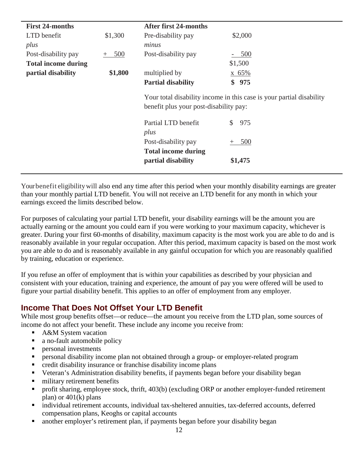| <b>First 24-months</b>     |            | <b>After first 24-months</b>                                                                                   |               |
|----------------------------|------------|----------------------------------------------------------------------------------------------------------------|---------------|
| LTD benefit                | \$1,300    | Pre-disability pay                                                                                             | \$2,000       |
| plus                       |            | minus                                                                                                          |               |
| Post-disability pay        | 500<br>$+$ | Post-disability pay                                                                                            | 500           |
| <b>Total income during</b> |            |                                                                                                                | \$1,500       |
| partial disability         | \$1,800    | multiplied by                                                                                                  | x 65%         |
|                            |            | <b>Partial disability</b>                                                                                      | \$975         |
|                            |            | Your total disability income in this case is your partial disability<br>benefit plus your post-disability pay: |               |
|                            |            | Partial LTD benefit<br>plus                                                                                    | 975           |
|                            |            | Post-disability pay<br><b>Total income during</b>                                                              | 500<br>$^{+}$ |
|                            |            | partial disability                                                                                             | \$1,475       |

Yourbenefit eligibilitywill also end any time after this period when your monthly disability earnings are greater than your monthly partial LTD benefit. You will not receive an LTD benefit for any month in which your earnings exceed the limits described below.

For purposes of calculating your partial LTD benefit, your disability earnings will be the amount you are actually earning or the amount you could earn if you were working to your maximum capacity, whichever is greater. During your first 60-months of disability, maximum capacity is the most work you are able to do and is reasonably available in your regular occupation. After this period, maximum capacity is based on the most work you are able to do and is reasonably available in any gainful occupation for which you are reasonably qualified by training, education or experience.

If you refuse an offer of employment that is within your capabilities as described by your physician and consistent with your education, training and experience, the amount of pay you were offered will be used to figure your partial disability benefit. This applies to an offer of employment from any employer.

#### <span id="page-11-0"></span>**Income That Does Not Offset Your LTD Benefit**

While most group benefits offset—or reduce—the amount you receive from the LTD plan, some sources of income do not affect your benefit. These include any income you receive from:

- A&M System vacation
- a no-fault automobile policy
- personal investments
- personal disability income plan not obtained through a group- or employer-related program
- credit disability insurance or franchise disability income plans
- Veteran's Administration disability benefits, if payments began before your disability began
- military retirement benefits
- profit sharing, employee stock, thrift, 403(b) (excluding ORP or another employer-funded retirement plan) or 401(k) plans
- individual retirement accounts, individual tax-sheltered annuities, tax-deferred accounts, deferred compensation plans, Keoghs or capital accounts
- another employer's retirement plan, if payments began before your disability began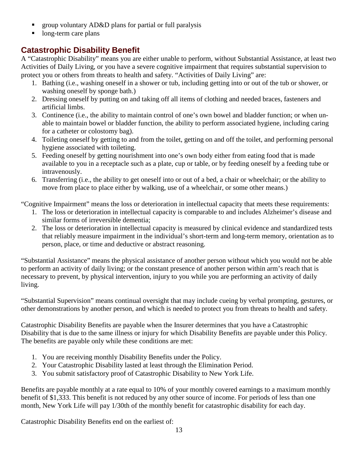- group voluntary AD&D plans for partial or full paralysis
- long-term care plans

### <span id="page-12-0"></span>**Catastrophic Disability Benefit**

A "Catastrophic Disability" means you are either unable to perform, without Substantial Assistance, at least two Activities of Daily Living, or you have a severe cognitive impairment that requires substantial supervision to protect you or others from threats to health and safety. "Activities of Daily Living" are:

- 1. Bathing (i.e., washing oneself in a shower or tub, including getting into or out of the tub or shower, or washing oneself by sponge bath.)
- 2. Dressing oneself by putting on and taking off all items of clothing and needed braces, fasteners and artificial limbs.
- 3. Continence (i.e., the ability to maintain control of one's own bowel and bladder function; or when unable to maintain bowel or bladder function, the ability to perform associated hygiene, including caring for a catheter or colostomy bag).
- 4. Toileting oneself by getting to and from the toilet, getting on and off the toilet, and performing personal hygiene associated with toileting.
- 5. Feeding oneself by getting nourishment into one's own body either from eating food that is made available to you in a receptacle such as a plate, cup or table, or by feeding oneself by a feeding tube or intravenously.
- 6. Transferring (i.e., the ability to get oneself into or out of a bed, a chair or wheelchair; or the ability to move from place to place either by walking, use of a wheelchair, or some other means.)

"Cognitive Impairment" means the loss or deterioration in intellectual capacity that meets these requirements:

- 1. The loss or deterioration in intellectual capacity is comparable to and includes Alzheimer's disease and similar forms of irreversible dementia;
- 2. The loss or deterioration in intellectual capacity is measured by clinical evidence and standardized tests that reliably measure impairment in the individual's short-term and long-term memory, orientation as to person, place, or time and deductive or abstract reasoning.

"Substantial Assistance" means the physical assistance of another person without which you would not be able to perform an activity of daily living; or the constant presence of another person within arm's reach that is necessary to prevent, by physical intervention, injury to you while you are performing an activity of daily living.

"Substantial Supervision" means continual oversight that may include cueing by verbal prompting, gestures, or other demonstrations by another person, and which is needed to protect you from threats to health and safety.

Catastrophic Disability Benefits are payable when the Insurer determines that you have a Catastrophic Disability that is due to the same illness or injury for which Disability Benefits are payable under this Policy. The benefits are payable only while these conditions are met:

- 1. You are receiving monthly Disability Benefits under the Policy.
- 2. Your Catastrophic Disability lasted at least through the Elimination Period.
- 3. You submit satisfactory proof of Catastrophic Disability to New York Life.

Benefits are payable monthly at a rate equal to 10% of your monthly covered earnings to a maximum monthly benefit of \$1,333. This benefit is not reduced by any other source of income. For periods of less than one month, New York Life will pay 1/30th of the monthly benefit for catastrophic disability for each day.

Catastrophic Disability Benefits end on the earliest of: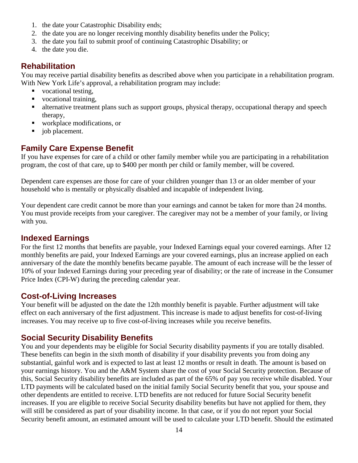- 1. the date your Catastrophic Disability ends;
- 2. the date you are no longer receiving monthly disability benefits under the Policy;
- 3. the date you fail to submit proof of continuing Catastrophic Disability; or
- 4. the date you die.

#### <span id="page-13-0"></span>**Rehabilitation**

You may receive partial disability benefits as described above when you participate in a rehabilitation program. With New York Life's approval, a rehabilitation program may include:

- vocational testing.
- vocational training,
- **Example 1** alternative treatment plans such as support groups, physical therapy, occupational therapy and speech therapy,
- workplace modifications, or
- job placement.

#### <span id="page-13-1"></span>**Family Care Expense Benefit**

If you have expenses for care of a child or other family member while you are participating in a rehabilitation program, the cost of that care, up to \$400 per month per child or family member, will be covered.

Dependent care expenses are those for care of your children younger than 13 or an older member of your household who is mentally or physically disabled and incapable of independent living.

Your dependent care credit cannot be more than your earnings and cannot be taken for more than 24 months. You must provide receipts from your caregiver. The caregiver may not be a member of your family, or living with you.

#### <span id="page-13-2"></span>**Indexed Earnings**

For the first 12 months that benefits are payable, your Indexed Earnings equal your covered earnings. After 12 monthly benefits are paid, your Indexed Earnings are your covered earnings, plus an increase applied on each anniversary of the date the monthly benefits became payable. The amount of each increase will be the lesser of 10% of your Indexed Earnings during your preceding year of disability; or the rate of increase in the Consumer Price Index (CPI-W) during the preceding calendar year.

#### <span id="page-13-3"></span>**Cost-of-Living Increases**

Your benefit will be adjusted on the date the 12th monthly benefit is payable. Further adjustment will take effect on each anniversary of the first adjustment. This increase is made to adjust benefits for cost-of-living increases. You may receive up to five cost-of-living increases while you receive benefits.

#### <span id="page-13-4"></span>**Social Security Disability Benefits**

You and your dependents may be eligible for Social Security disability payments if you are totally disabled. These benefits can begin in the sixth month of disability if your disability prevents you from doing any substantial, gainful work and is expected to last at least 12 months or result in death. The amount is based on your earnings history. You and the A&M System share the cost of your Social Security protection. Because of this, Social Security disability benefits are included as part of the 65% of pay you receive while disabled. Your LTD payments will be calculated based on the initial family Social Security benefit that you, your spouse and other dependents are entitled to receive. LTD benefits are not reduced for future Social Security benefit increases. If you are eligible to receive Social Security disability benefits but have not applied for them, they will still be considered as part of your disability income. In that case, or if you do not report your Social Security benefit amount, an estimated amount will be used to calculate your LTD benefit. Should the estimated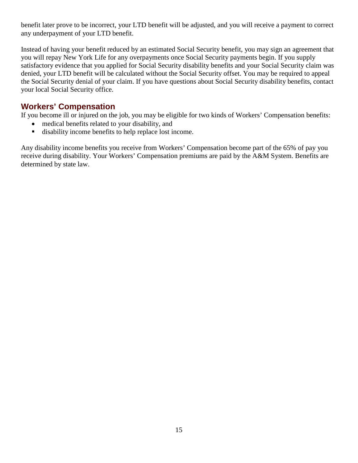benefit later prove to be incorrect, your LTD benefit will be adjusted, and you will receive a payment to correct any underpayment of your LTD benefit.

Instead of having your benefit reduced by an estimated Social Security benefit, you may sign an agreement that you will repay New York Life for any overpayments once Social Security payments begin. If you supply satisfactory evidence that you applied for Social Security disability benefits and your Social Security claim was denied, your LTD benefit will be calculated without the Social Security offset. You may be required to appeal the Social Security denial of your claim. If you have questions about Social Security disability benefits, contact your local Social Security office.

#### <span id="page-14-0"></span>**Workers' Compensation**

If you become ill or injured on the job, you may be eligible for two kinds of Workers' Compensation benefits:

- medical benefits related to your disability, and
- disability income benefits to help replace lost income.

Any disability income benefits you receive from Workers' Compensation become part of the 65% of pay you receive during disability. Your Workers' Compensation premiums are paid by the A&M System. Benefits are determined by state law.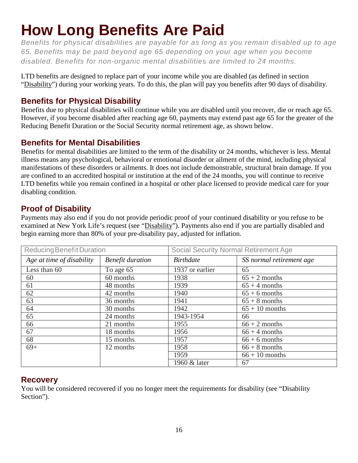# <span id="page-15-0"></span>**How Long Benefits Are Paid**

*Benefits for physical disabilities are payable for as long as you remain disabled up to age 65. Benefits may be paid beyond age 65 depending on your age when you become disabled. Benefits for non-organic mental disabilities are limited to 24 months.*

LTD benefits are designed to replace part of your income while you are disabled (as defined in section ["Disability"](#page-6-1)) during your working years. To do this, the plan will pay you benefits after 90 days of disability.

### <span id="page-15-1"></span>**Benefits for Physical Disability**

Benefits due to physical disabilities will continue while you are disabled until you recover, die or reach age 65. However, if you become disabled after reaching age 60, payments may extend past age 65 for the greater of the Reducing Benefit Duration or the Social Security normal retirement age, as shown below.

### <span id="page-15-2"></span>**Benefits for Mental Disabilities**

Benefits for mental disabilities are limited to the term of the disability or 24 months, whichever is less. Mental illness means any psychological, behavioral or emotional disorder or ailment of the mind, including physical manifestations of these disorders or ailments. It does not include demonstrable, structural brain damage. If you are confined to an accredited hospital or institution at the end of the 24 months, you will continue to receive LTD benefits while you remain confined in a hospital or other place licensed to provide medical care for your disabling condition.

### <span id="page-15-3"></span>**Proof of Disability**

Payments may also end if you do not provide periodic proof of your continued disability or you refuse to be examined at New York Life's request (see ["Disability"](#page-6-3)). Payments also end if you are partially disabled and begin earning more than 80% of your pre-disability pay, adjusted for inflation.

<span id="page-15-5"></span><span id="page-15-4"></span>

| Reducing Benefit Duration |                         | <b>Social Security Normal Retirement Age</b> |                          |
|---------------------------|-------------------------|----------------------------------------------|--------------------------|
| Age at time of disability | <b>Benefit duration</b> | <b>Birthdate</b>                             | SS normal retirement age |
| Less than 60              | To age 65               | 1937 or earlier                              | 65                       |
| 60                        | 60 months               | 1938                                         | $65 + 2$ months          |
| 61                        | 48 months               | 1939                                         | $65 + 4$ months          |
| 62                        | 42 months               | 1940                                         | $65 + 6$ months          |
| 63                        | 36 months               | 1941                                         | $65 + 8$ months          |
| 64                        | 30 months               | 1942                                         | $65 + 10$ months         |
| 65                        | 24 months               | 1943-1954                                    | 66                       |
| 66                        | 21 months               | 1955                                         | $66 + 2$ months          |
| 67                        | 18 months               | 1956                                         | $66 + 4$ months          |
| 68                        | 15 months               | 1957                                         | $66 + 6$ months          |
| $69+$                     | 12 months               | 1958                                         | $66 + 8$ months          |
|                           |                         | 1959                                         | $66 + 10$ months         |
|                           |                         | 1960 & later                                 | 67                       |

#### <span id="page-15-6"></span>**Recovery**

You will be considered recovered if you no longer meet the requirements for disability (see "Disability Section").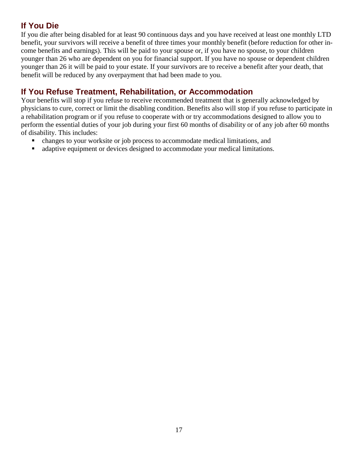# <span id="page-16-0"></span>**If You Die**

If you die after being disabled for at least 90 continuous days and you have received at least one monthly LTD benefit, your survivors will receive a benefit of three times your monthly benefit (before reduction for other income benefits and earnings). This will be paid to your spouse or, if you have no spouse, to your children younger than 26 who are dependent on you for financial support. If you have no spouse or dependent children younger than 26 it will be paid to your estate. If your survivors are to receive a benefit after your death, that benefit will be reduced by any overpayment that had been made to you.

### <span id="page-16-1"></span>**If You Refuse Treatment, Rehabilitation, or Accommodation**

Your benefits will stop if you refuse to receive recommended treatment that is generally acknowledged by physicians to cure, correct or limit the disabling condition. Benefits also will stop if you refuse to participate in a rehabilitation program or if you refuse to cooperate with or try accommodations designed to allow you to perform the essential duties of your job during your first 60 months of disability or of any job after 60 months of disability. This includes:

- changes to your worksite or job process to accommodate medical limitations, and
- adaptive equipment or devices designed to accommodate your medical limitations.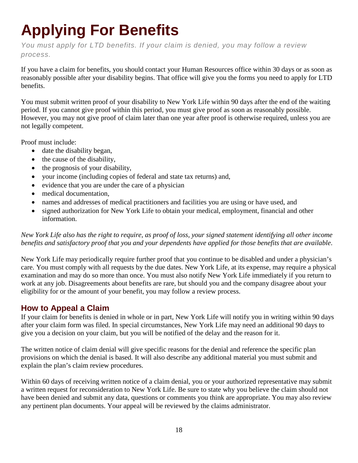# <span id="page-17-0"></span>**Applying For Benefits**

*You must apply for LTD benefits. If your claim is denied, you may follow a review process.*

If you have a claim for benefits, you should contact your Human Resources office within 30 days or as soon as reasonably possible after your disability begins. That office will give you the forms you need to apply for LTD benefits.

You must submit written proof of your disability to New York Life within 90 days after the end of the waiting period. If you cannot give proof within this period, you must give proof as soon as reasonably possible. However, you may not give proof of claim later than one year after proof is otherwise required, unless you are not legally competent.

Proof must include:

- date the disability began,
- the cause of the disability,
- the prognosis of your disability,
- your income (including copies of federal and state tax returns) and,
- evidence that you are under the care of a physician
- medical documentation.
- names and addresses of medical practitioners and facilities you are using or have used, and
- signed authorization for New York Life to obtain your medical, employment, financial and other information.

#### *New York Life also has the right to require, as proof of loss, your signed statement identifying all other income benefits and satisfactory proof that you and your dependents have applied for those benefits that are available*.

New York Life may periodically require further proof that you continue to be disabled and under a physician's care. You must comply with all requests by the due dates. New York Life, at its expense, may require a physical examination and may do so more than once. You must also notify New York Life immediately if you return to work at any job. Disagreements about benefits are rare, but should you and the company disagree about your eligibility for or the amount of your benefit, you may follow a review process.

#### <span id="page-17-1"></span>**How to Appeal a Claim**

If your claim for benefits is denied in whole or in part, New York Life will notify you in writing within 90 days after your claim form was filed. In special circumstances, New York Life may need an additional 90 days to give you a decision on your claim, but you will be notified of the delay and the reason for it.

The written notice of claim denial will give specific reasons for the denial and reference the specific plan provisions on which the denial is based. It will also describe any additional material you must submit and explain the plan's claim review procedures.

Within 60 days of receiving written notice of a claim denial, you or your authorized representative may submit a written request for reconsideration to New York Life. Be sure to state why you believe the claim should not have been denied and submit any data, questions or comments you think are appropriate. You may also review any pertinent plan documents. Your appeal will be reviewed by the claims administrator.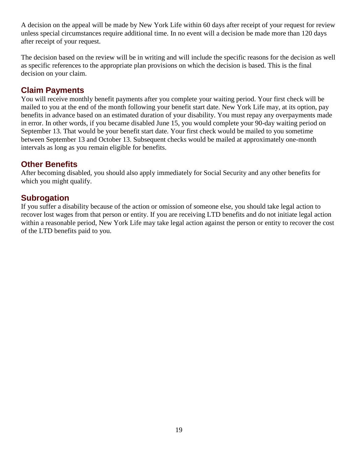A decision on the appeal will be made by New York Life within 60 days after receipt of your request for review unless special circumstances require additional time. In no event will a decision be made more than 120 days after receipt of your request.

The decision based on the review will be in writing and will include the specific reasons for the decision as well as specific references to the appropriate plan provisions on which the decision is based. This is the final decision on your claim.

#### <span id="page-18-0"></span>**Claim Payments**

You will receive monthly benefit payments after you complete your waiting period. Your first check will be mailed to you at the end of the month following your benefit start date. New York Life may, at its option, pay benefits in advance based on an estimated duration of your disability. You must repay any overpayments made in error. In other words, if you became disabled June 15, you would complete your 90-day waiting period on September 13. That would be your benefit start date. Your first check would be mailed to you sometime between September 13 and October 13. Subsequent checks would be mailed at approximately one-month intervals as long as you remain eligible for benefits.

#### <span id="page-18-1"></span>**Other Benefits**

After becoming disabled, you should also apply immediately for Social Security and any other benefits for which you might qualify.

#### <span id="page-18-2"></span>**Subrogation**

If you suffer a disability because of the action or omission of someone else, you should take legal action to recover lost wages from that person or entity. If you are receiving LTD benefits and do not initiate legal action within a reasonable period, New York Life may take legal action against the person or entity to recover the cost of the LTD benefits paid to you.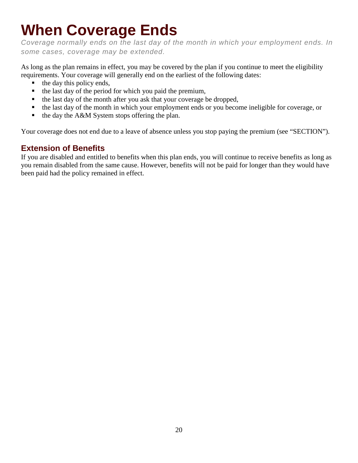# <span id="page-19-0"></span>**When Coverage Ends**

*Coverage normally ends on the last day of the month in which your employment ends. In some cases, coverage may be extended.*

As long as the plan remains in effect, you may be covered by the plan if you continue to meet the eligibility requirements. Your coverage will generally end on the earliest of the following dates:

- the day this policy ends,
- $\blacksquare$  the last day of the period for which you paid the premium,
- the last day of the month after you ask that your coverage be dropped,
- the last day of the month in which your employment ends or you become ineligible for coverage, or
- $\blacksquare$  the day the A&M System stops offering the plan.

Your coverage does not end due to a leave of absence unless you stop paying the premium (see "SECTION").

### <span id="page-19-1"></span>**Extension of Benefits**

If you are disabled and entitled to benefits when this plan ends, you will continue to receive benefits as long as you remain disabled from the same cause. However, benefits will not be paid for longer than they would have been paid had the policy remained in effect.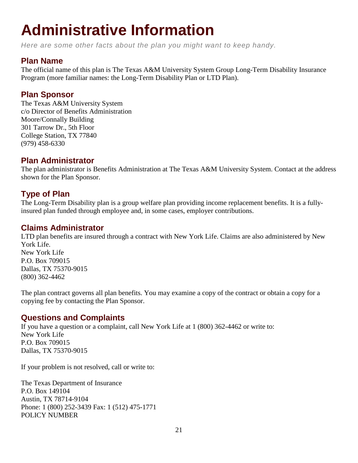# <span id="page-20-0"></span>**Administrative Information**

*Here are some other facts about the plan you might want to keep handy.*

#### <span id="page-20-1"></span>**Plan Name**

The official name of this plan is The Texas A&M University System Group Long-Term Disability Insurance Program (more familiar names: the Long-Term Disability Plan or LTD Plan).

#### <span id="page-20-2"></span>**Plan Sponsor**

The Texas A&M University System c/o Director of Benefits Administration Moore/Connally Building 301 Tarrow Dr., 5th Floor College Station, TX 77840 (979) 458-6330

#### <span id="page-20-3"></span>**Plan Administrator**

The plan administrator is Benefits Administration at The Texas A&M University System. Contact at the address shown for the Plan Sponsor.

### <span id="page-20-4"></span>**Type of Plan**

The Long-Term Disability plan is a group welfare plan providing income replacement benefits. It is a fullyinsured plan funded through employee and, in some cases, employer contributions.

#### <span id="page-20-5"></span>**Claims Administrator**

LTD plan benefits are insured through a contract with New York Life. Claims are also administered by New York Life. New York Life

P.O. Box 709015 Dallas, TX 75370-9015 (800) 362-4462

The plan contract governs all plan benefits. You may examine a copy of the contract or obtain a copy for a copying fee by contacting the Plan Sponsor.

#### <span id="page-20-6"></span>**Questions and Complaints**

If you have a question or a complaint, call New York Life at 1 (800) 362-4462 or write to: New York Life P.O. Box 709015 Dallas, TX 75370-9015

If your problem is not resolved, call or write to:

The Texas Department of Insurance P.O. Box 149104 Austin, TX 78714-9104 Phone: 1 (800) 252-3439 Fax: 1 (512) 475-1771 POLICY NUMBER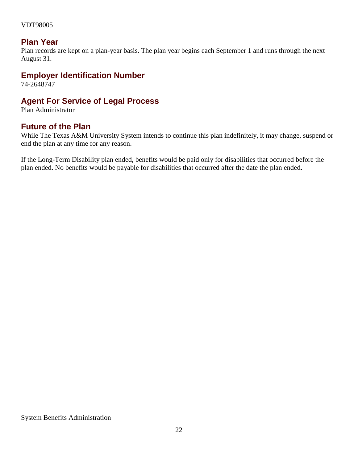#### VDT98005

#### <span id="page-21-0"></span>**Plan Year**

Plan records are kept on a plan-year basis. The plan year begins each September 1 and runs through the next August 31.

#### <span id="page-21-1"></span>**Employer Identification Number**

74-2648747

#### <span id="page-21-2"></span>**Agent For Service of Legal Process**

Plan Administrator

#### <span id="page-21-3"></span>**Future of the Plan**

While The Texas A&M University System intends to continue this plan indefinitely, it may change, suspend or end the plan at any time for any reason.

If the Long-Term Disability plan ended, benefits would be paid only for disabilities that occurred before the plan ended. No benefits would be payable for disabilities that occurred after the date the plan ended.

System Benefits Administration